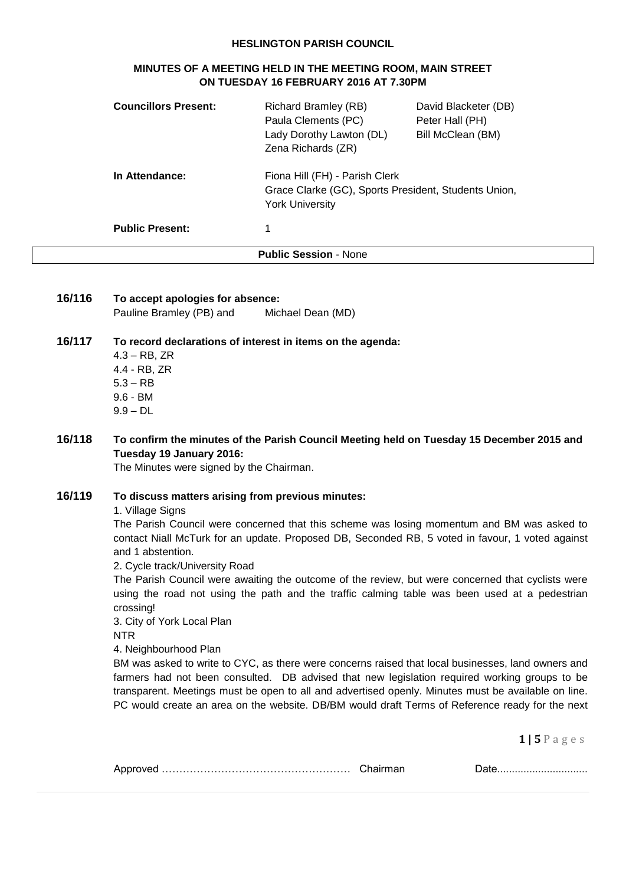#### **HESLINGTON PARISH COUNCIL**

#### **MINUTES OF A MEETING HELD IN THE MEETING ROOM, MAIN STREET ON TUESDAY 16 FEBRUARY 2016 AT 7.30PM**

| <b>Councillors Present:</b>  | Richard Bramley (RB)<br>Paula Clements (PC)<br>Lady Dorothy Lawton (DL)<br>Zena Richards (ZR)                    | David Blacketer (DB)<br>Peter Hall (PH)<br>Bill McClean (BM) |
|------------------------------|------------------------------------------------------------------------------------------------------------------|--------------------------------------------------------------|
| In Attendance:               | Fiona Hill (FH) - Parish Clerk<br>Grace Clarke (GC), Sports President, Students Union,<br><b>York University</b> |                                                              |
| <b>Public Present:</b>       | 1                                                                                                                |                                                              |
| <b>Public Session - None</b> |                                                                                                                  |                                                              |

| 16/116 | To accept apologies for absence: |                   |
|--------|----------------------------------|-------------------|
|        | Pauline Bramley (PB) and         | Michael Dean (MD) |

## **16/117 To record declarations of interest in items on the agenda:**

4.3 – RB, ZR 4.4 - RB, ZR 5.3 – RB 9.6 - BM 9.9 – DL

## **16/118 To confirm the minutes of the Parish Council Meeting held on Tuesday 15 December 2015 and Tuesday 19 January 2016:**

The Minutes were signed by the Chairman.

## **16/119 To discuss matters arising from previous minutes:**

1. Village Signs

The Parish Council were concerned that this scheme was losing momentum and BM was asked to contact Niall McTurk for an update. Proposed DB, Seconded RB, 5 voted in favour, 1 voted against and 1 abstention.

2. Cycle track/University Road

The Parish Council were awaiting the outcome of the review, but were concerned that cyclists were using the road not using the path and the traffic calming table was been used at a pedestrian crossing!

3. City of York Local Plan

NTR

4. Neighbourhood Plan

BM was asked to write to CYC, as there were concerns raised that local businesses, land owners and farmers had not been consulted. DB advised that new legislation required working groups to be transparent. Meetings must be open to all and advertised openly. Minutes must be available on line. PC would create an area on the website. DB/BM would draft Terms of Reference ready for the next

**1 | 5** P a g e s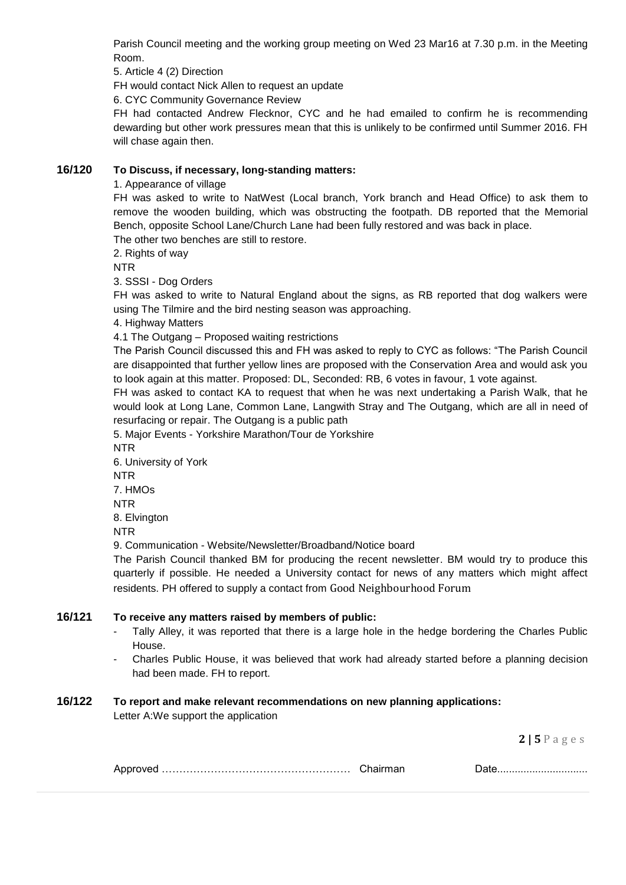Parish Council meeting and the working group meeting on Wed 23 Mar16 at 7.30 p.m. in the Meeting Room.

5. Article 4 (2) Direction

FH would contact Nick Allen to request an update

6. CYC Community Governance Review

FH had contacted Andrew Flecknor, CYC and he had emailed to confirm he is recommending dewarding but other work pressures mean that this is unlikely to be confirmed until Summer 2016. FH will chase again then.

# **16/120 To Discuss, if necessary, long-standing matters:**

1. Appearance of village

FH was asked to write to NatWest (Local branch, York branch and Head Office) to ask them to remove the wooden building, which was obstructing the footpath. DB reported that the Memorial Bench, opposite School Lane/Church Lane had been fully restored and was back in place.

The other two benches are still to restore.

2. Rights of way

NTR

3. SSSI - Dog Orders

FH was asked to write to Natural England about the signs, as RB reported that dog walkers were using The Tilmire and the bird nesting season was approaching.

4. Highway Matters

4.1 The Outgang – Proposed waiting restrictions

The Parish Council discussed this and FH was asked to reply to CYC as follows: "The Parish Council are disappointed that further yellow lines are proposed with the Conservation Area and would ask you to look again at this matter. Proposed: DL, Seconded: RB, 6 votes in favour, 1 vote against.

FH was asked to contact KA to request that when he was next undertaking a Parish Walk, that he would look at Long Lane, Common Lane, Langwith Stray and The Outgang, which are all in need of resurfacing or repair. The Outgang is a public path

5. Major Events - Yorkshire Marathon/Tour de Yorkshire

- NTR
- 6. University of York NTR

7. HMOs

NTR

8. Elvington

NTR

9. Communication - Website/Newsletter/Broadband/Notice board

The Parish Council thanked BM for producing the recent newsletter. BM would try to produce this quarterly if possible. He needed a University contact for news of any matters which might affect residents. PH offered to supply a contact from Good Neighbourhood Forum

#### **16/121 To receive any matters raised by members of public:**

- Tally Alley, it was reported that there is a large hole in the hedge bordering the Charles Public House.
- Charles Public House, it was believed that work had already started before a planning decision had been made. FH to report.

# **16/122 To report and make relevant recommendations on new planning applications:**

Letter A:We support the application

**2 | 5** P a g e s

|--|--|--|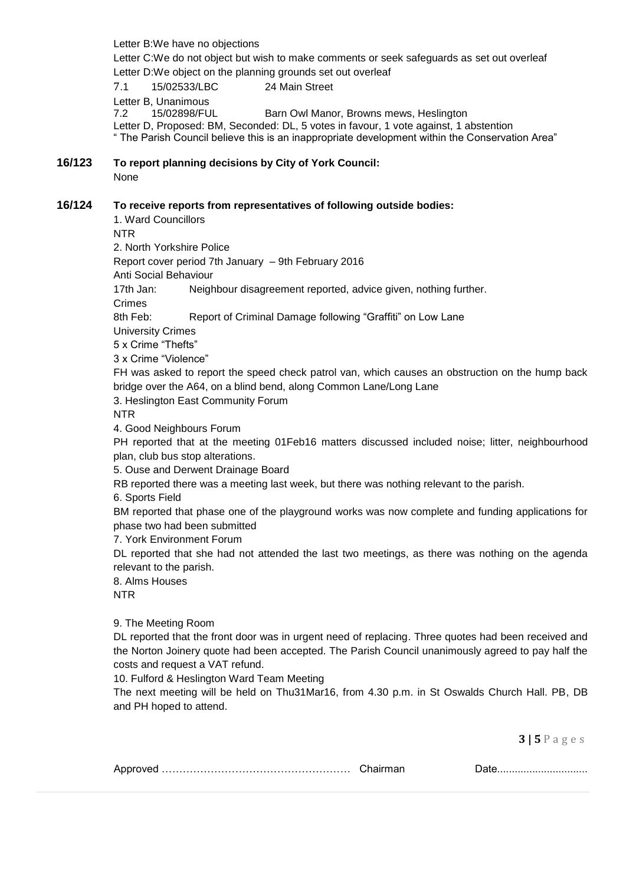**3 | 5** P a g e s Letter B:We have no objections Letter C:We do not object but wish to make comments or seek safeguards as set out overleaf Letter D:We object on the planning grounds set out overleaf 7.1 15/02533/LBC 24 Main Street Letter B, Unanimous 7.2 15/02898/FUL Barn Owl Manor, Browns mews, Heslington Letter D, Proposed: BM, Seconded: DL, 5 votes in favour, 1 vote against, 1 abstention " The Parish Council believe this is an inappropriate development within the Conservation Area" **16/123 To report planning decisions by City of York Council:** None **16/124 To receive reports from representatives of following outside bodies:** 1. Ward Councillors NTR 2. North Yorkshire Police Report cover period 7th January – 9th February 2016 Anti Social Behaviour 17th Jan: Neighbour disagreement reported, advice given, nothing further. Crimes 8th Feb: Report of Criminal Damage following "Graffiti" on Low Lane University Crimes 5 x Crime "Thefts" 3 x Crime "Violence" FH was asked to report the speed check patrol van, which causes an obstruction on the hump back bridge over the A64, on a blind bend, along Common Lane/Long Lane 3. Heslington East Community Forum NTR 4. Good Neighbours Forum PH reported that at the meeting 01Feb16 matters discussed included noise; litter, neighbourhood plan, club bus stop alterations. 5. Ouse and Derwent Drainage Board RB reported there was a meeting last week, but there was nothing relevant to the parish. 6. Sports Field BM reported that phase one of the playground works was now complete and funding applications for phase two had been submitted 7. York Environment Forum DL reported that she had not attended the last two meetings, as there was nothing on the agenda relevant to the parish. 8. Alms Houses NTR 9. The Meeting Room DL reported that the front door was in urgent need of replacing. Three quotes had been received and the Norton Joinery quote had been accepted. The Parish Council unanimously agreed to pay half the costs and request a VAT refund. 10. Fulford & Heslington Ward Team Meeting The next meeting will be held on Thu31Mar16, from 4.30 p.m. in St Oswalds Church Hall. PB, DB and PH hoped to attend.

|  |  | ___________________________________ |
|--|--|-------------------------------------|
|--|--|-------------------------------------|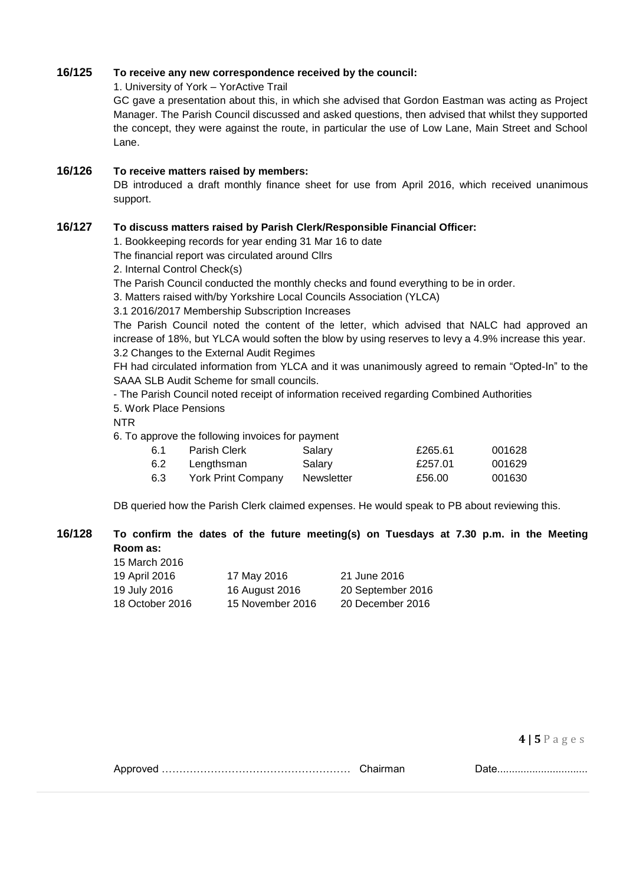## **16/125 To receive any new correspondence received by the council:**

1. University of York – YorActive Trail

GC gave a presentation about this, in which she advised that Gordon Eastman was acting as Project Manager. The Parish Council discussed and asked questions, then advised that whilst they supported the concept, they were against the route, in particular the use of Low Lane, Main Street and School Lane.

## **16/126 To receive matters raised by members:**

DB introduced a draft monthly finance sheet for use from April 2016, which received unanimous support.

## **16/127 To discuss matters raised by Parish Clerk/Responsible Financial Officer:**

1. Bookkeeping records for year ending 31 Mar 16 to date

The financial report was circulated around Cllrs

2. Internal Control Check(s)

The Parish Council conducted the monthly checks and found everything to be in order.

3. Matters raised with/by Yorkshire Local Councils Association (YLCA)

3.1 2016/2017 Membership Subscription Increases

The Parish Council noted the content of the letter, which advised that NALC had approved an increase of 18%, but YLCA would soften the blow by using reserves to levy a 4.9% increase this year. 3.2 Changes to the External Audit Regimes

FH had circulated information from YLCA and it was unanimously agreed to remain "Opted-In" to the SAAA SLB Audit Scheme for small councils.

- The Parish Council noted receipt of information received regarding Combined Authorities

5. Work Place Pensions

NTR

6. To approve the following invoices for payment

| -6.1 | Parish Clerk       | Salary     | £265.61 | 001628 |
|------|--------------------|------------|---------|--------|
| 6.2  | Lengthsman         | Salary     | £257.01 | 001629 |
| 6.3  | York Print Company | Newsletter | £56.00  | 001630 |

DB queried how the Parish Clerk claimed expenses. He would speak to PB about reviewing this.

## **16/128 To confirm the dates of the future meeting(s) on Tuesdays at 7.30 p.m. in the Meeting Room as:**

| 15 March 2016   |                  |                   |
|-----------------|------------------|-------------------|
| 19 April 2016   | 17 May 2016      | 21 June 2016      |
| 19 July 2016    | 16 August 2016   | 20 September 2016 |
| 18 October 2016 | 15 November 2016 | 20 December 2016  |

**4 | 5** P a g e s

Approved ……………………………………………… Chairman Date...............................